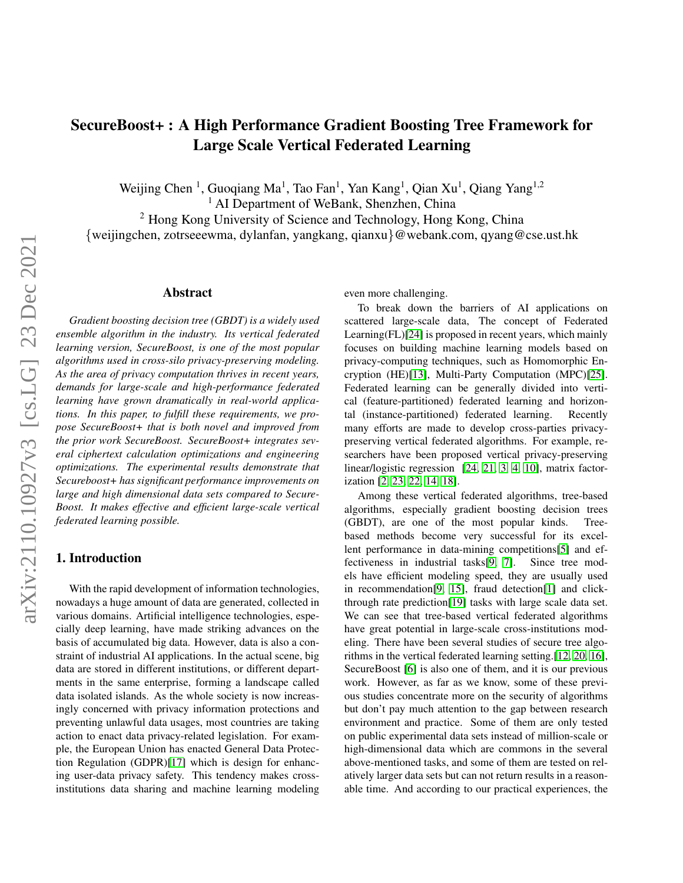# SecureBoost+ : A High Performance Gradient Boosting Tree Framework for Large Scale Vertical Federated Learning

Weijing Chen<sup>1</sup>, Guoqiang Ma<sup>1</sup>, Tao Fan<sup>1</sup>, Yan Kang<sup>1</sup>, Qian Xu<sup>1</sup>, Qiang Yang<sup>1,2</sup> <sup>1</sup> AI Department of WeBank, Shenzhen, China

<sup>2</sup> Hong Kong University of Science and Technology, Hong Kong, China {weijingchen, zotrseeewma, dylanfan, yangkang, qianxu}@webank.com, qyang@cse.ust.hk

#### Abstract

*Gradient boosting decision tree (GBDT) is a widely used ensemble algorithm in the industry. Its vertical federated learning version, SecureBoost, is one of the most popular algorithms used in cross-silo privacy-preserving modeling. As the area of privacy computation thrives in recent years, demands for large-scale and high-performance federated learning have grown dramatically in real-world applications. In this paper, to fulfill these requirements, we propose SecureBoost+ that is both novel and improved from the prior work SecureBoost. SecureBoost+ integrates several ciphertext calculation optimizations and engineering optimizations. The experimental results demonstrate that Secureboost+ has significant performance improvements on large and high dimensional data sets compared to Secure-Boost. It makes effective and efficient large-scale vertical federated learning possible.*

# 1. Introduction

With the rapid development of information technologies, nowadays a huge amount of data are generated, collected in various domains. Artificial intelligence technologies, especially deep learning, have made striking advances on the basis of accumulated big data. However, data is also a constraint of industrial AI applications. In the actual scene, big data are stored in different institutions, or different departments in the same enterprise, forming a landscape called data isolated islands. As the whole society is now increasingly concerned with privacy information protections and preventing unlawful data usages, most countries are taking action to enact data privacy-related legislation. For example, the European Union has enacted General Data Protection Regulation (GDPR)[\[17\]](#page-14-0) which is design for enhancing user-data privacy safety. This tendency makes crossinstitutions data sharing and machine learning modeling even more challenging.

To break down the barriers of AI applications on scattered large-scale data, The concept of Federated Learning(FL)[\[24\]](#page-14-1) is proposed in recent years, which mainly focuses on building machine learning models based on privacy-computing techniques, such as Homomorphic Encryption (HE)[\[13\]](#page-14-2), Multi-Party Computation (MPC)[\[25\]](#page-14-3). Federated learning can be generally divided into vertical (feature-partitioned) federated learning and horizontal (instance-partitioned) federated learning. Recently many efforts are made to develop cross-parties privacypreserving vertical federated algorithms. For example, researchers have been proposed vertical privacy-preserving linear/logistic regression [\[24,](#page-14-1) [21,](#page-14-4) [3,](#page-13-0) [4,](#page-13-1) [10\]](#page-13-2), matrix factorization [\[2,](#page-13-3) [23,](#page-14-5) [22,](#page-14-6) [14,](#page-14-7) [18\]](#page-14-8).

Among these vertical federated algorithms, tree-based algorithms, especially gradient boosting decision trees (GBDT), are one of the most popular kinds. Treebased methods become very successful for its excellent performance in data-mining competitions[\[5\]](#page-13-4) and effectiveness in industrial tasks[\[9,](#page-13-5) [7\]](#page-13-6). Since tree models have efficient modeling speed, they are usually used in recommendation[\[9,](#page-13-5) [15\]](#page-14-9), fraud detection[\[1\]](#page-13-7) and clickthrough rate prediction[\[19\]](#page-14-10) tasks with large scale data set. We can see that tree-based vertical federated algorithms have great potential in large-scale cross-institutions modeling. There have been several studies of secure tree algorithms in the vertical federated learning setting.[\[12,](#page-14-11) [20,](#page-14-12) [16\]](#page-14-13), SecureBoost [\[6\]](#page-13-8) is also one of them, and it is our previous work. However, as far as we know, some of these previous studies concentrate more on the security of algorithms but don't pay much attention to the gap between research environment and practice. Some of them are only tested on public experimental data sets instead of million-scale or high-dimensional data which are commons in the several above-mentioned tasks, and some of them are tested on relatively larger data sets but can not return results in a reasonable time. And according to our practical experiences, the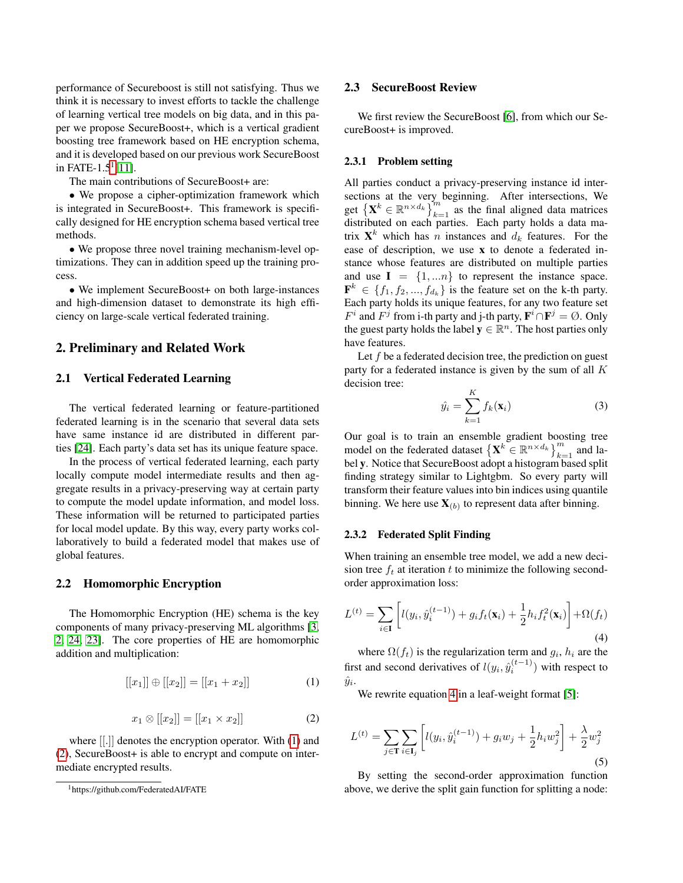performance of Secureboost is still not satisfying. Thus we think it is necessary to invest efforts to tackle the challenge of learning vertical tree models on big data, and in this paper we propose SecureBoost+, which is a vertical gradient boosting tree framework based on HE encryption schema, and it is developed based on our previous work SecureBoost in FATE-[1](#page-1-0).5<sup>1</sup>[\[11\]](#page-13-9).

The main contributions of SecureBoost+ are:

• We propose a cipher-optimization framework which is integrated in SecureBoost+. This framework is specifically designed for HE encryption schema based vertical tree methods.

• We propose three novel training mechanism-level optimizations. They can in addition speed up the training process.

• We implement SecureBoost+ on both large-instances and high-dimension dataset to demonstrate its high efficiency on large-scale vertical federated training.

# 2. Preliminary and Related Work

#### 2.1 Vertical Federated Learning

The vertical federated learning or feature-partitioned federated learning is in the scenario that several data sets have same instance id are distributed in different parties [\[24\]](#page-14-1). Each party's data set has its unique feature space.

In the process of vertical federated learning, each party locally compute model intermediate results and then aggregate results in a privacy-preserving way at certain party to compute the model update information, and model loss. These information will be returned to participated parties for local model update. By this way, every party works collaboratively to build a federated model that makes use of global features.

#### 2.2 Homomorphic Encryption

The Homomorphic Encryption (HE) schema is the key components of many privacy-preserving ML algorithms [\[3,](#page-13-0) [2,](#page-13-3) [24,](#page-14-1) [23\]](#page-14-5). The core properties of HE are homomorphic addition and multiplication:

<span id="page-1-1"></span>
$$
[[x_1]] \oplus [[x_2]] = [[x_1 + x_2]] \tag{1}
$$

<span id="page-1-2"></span>
$$
x_1 \otimes [[x_2]] = [[x_1 \times x_2]] \tag{2}
$$

where [[.]] denotes the encryption operator. With [\(1\)](#page-1-1) and [\(2\)](#page-1-2), SecureBoost+ is able to encrypt and compute on intermediate encrypted results.

#### 2.3 SecureBoost Review

We first review the SecureBoost [\[6\]](#page-13-8), from which our SecureBoost+ is improved.

#### 2.3.1 Problem setting

All parties conduct a privacy-preserving instance id intersections at the very beginning. After intersections, We get  $\left\{ \mathbf{X}^{k} \in \mathbb{R}^{n \times d_{k}} \right\}_{k=1}^{m}$  as the final aligned data matrices distributed on each parties. Each party holds a data matrix  $X^k$  which has *n* instances and  $d_k$  features. For the ease of description, we use x to denote a federated instance whose features are distributed on multiple parties and use  $I = \{1, \ldots n\}$  to represent the instance space.  $\mathbf{F}^k \in \{f_1, f_2, ..., f_{d_k}\}\$ is the feature set on the k-th party. Each party holds its unique features, for any two feature set  $F^i$  and  $F^j$  from i-th party and j-th party,  $\mathbf{F}^i \cap \mathbf{F}^j = \emptyset$ . Only the guest party holds the label  $y \in \mathbb{R}^n$ . The host parties only have features.

Let  $f$  be a federated decision tree, the prediction on guest party for a federated instance is given by the sum of all K decision tree:

$$
\hat{y}_i = \sum_{k=1}^K f_k(\mathbf{x}_i) \tag{3}
$$

Our goal is to train an ensemble gradient boosting tree model on the federated dataset  $\left\{ \mathbf{X}^{k} \in \mathbb{R}^{n \times d_{k}} \right\}_{k=1}^{m}$  and label y. Notice that SecureBoost adopt a histogram based split finding strategy similar to Lightgbm. So every party will transform their feature values into bin indices using quantile binning. We here use  $\mathbf{X}_{(b)}$  to represent data after binning.

#### 2.3.2 Federated Split Finding

When training an ensemble tree model, we add a new decision tree  $f_t$  at iteration t to minimize the following secondorder approximation loss:

<span id="page-1-3"></span>
$$
L^{(t)} = \sum_{i \in \mathbf{I}} \left[ l(y_i, \hat{y}_i^{(t-1)}) + g_i f_t(\mathbf{x}_i) + \frac{1}{2} h_i f_t^2(\mathbf{x}_i) \right] + \Omega(f_t)
$$
\n(4)

where  $\Omega(f_t)$  is the regularization term and  $g_i$ ,  $h_i$  are the first and second derivatives of  $l(y_i, \hat{y}_i^{(t-1)})$  with respect to  $\hat{y}_i$ .

We rewrite equation [4](#page-1-3) in a leaf-weight format [\[5\]](#page-13-4):

<span id="page-1-4"></span>
$$
L^{(t)} = \sum_{j \in \mathbf{T}} \sum_{i \in \mathbf{I}_j} \left[ l(y_i, \hat{y}_i^{(t-1)}) + g_i w_j + \frac{1}{2} h_i w_j^2 \right] + \frac{\lambda}{2} w_j^2
$$
\n(5)

By setting the second-order approximation function above, we derive the split gain function for splitting a node:

<span id="page-1-0"></span><sup>1</sup>https://github.com/FederatedAI/FATE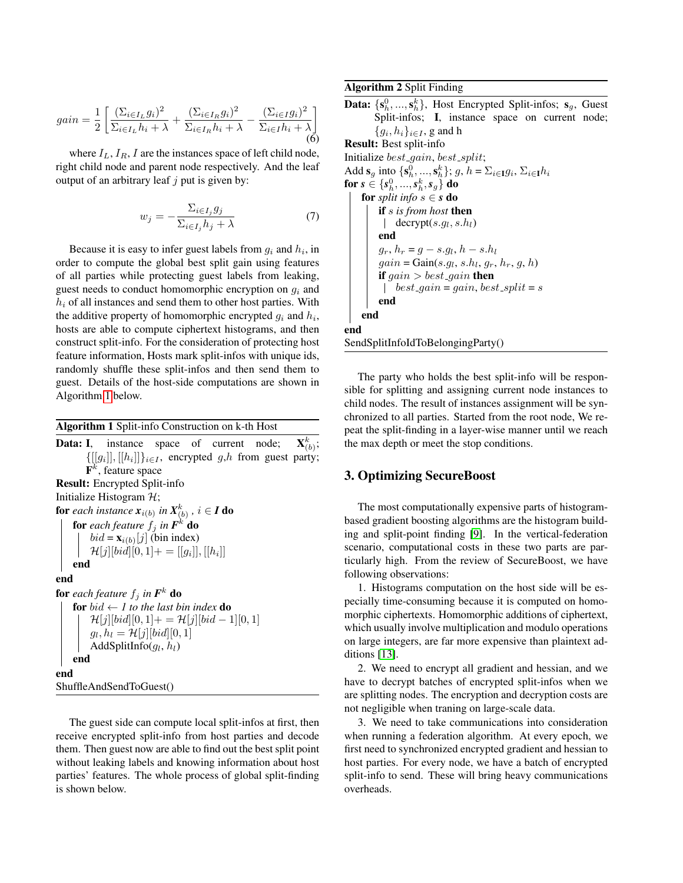$$
gain = \frac{1}{2} \left[ \frac{(\Sigma_{i \in I_L} g_i)^2}{\Sigma_{i \in I_L} h_i + \lambda} + \frac{(\Sigma_{i \in I_R} g_i)^2}{\Sigma_{i \in I_R} h_i + \lambda} - \frac{(\Sigma_{i \in I} g_i)^2}{\Sigma_{i \in I} h_i + \lambda} \right]
$$
(6)

where  $I_L$ ,  $I_R$ , I are the instances space of left child node, right child node and parent node respectively. And the leaf output of an arbitrary leaf  $j$  put is given by:

$$
w_j = -\frac{\sum_{i \in I_j} g_j}{\sum_{i \in I_j} h_j + \lambda} \tag{7}
$$

Because it is easy to infer guest labels from  $g_i$  and  $h_i$ , in order to compute the global best split gain using features of all parties while protecting guest labels from leaking, guest needs to conduct homomorphic encryption on  $g_i$  and  $h_i$  of all instances and send them to other host parties. With the additive property of homomorphic encrypted  $g_i$  and  $h_i$ , hosts are able to compute ciphertext histograms, and then construct split-info. For the consideration of protecting host feature information, Hosts mark split-infos with unique ids, randomly shuffle these split-infos and then send them to guest. Details of the host-side computations are shown in Algorithm [1](#page-2-0) below.

<span id="page-2-0"></span>Algorithm 1 Split-info Construction on k-th Host

Data: I, instance space of current node;  $_{(b)}^k;$  ${[[g_i]]}, [[h_i]]\}_{i \in I}$ , encrypted g,h from guest party;  $\mathbf{F}^k$ , feature space Result: Encrypted Split-info Initialize Histogram  $H$ ; for each instance  $\pmb{x}_{i(b)}$  in  $\pmb{X}^k_{(b)}$  ,  $i\in \pmb{I}$  do for *each feature*  $f_j$  in  $\boldsymbol{F}^k$  do  $bid = \mathbf{x}_{i(b)}[j]$  (bin index)  $\mathcal{H}[j][bid][0,1] += [[g_i]], [[h_i]])$ end end for *each feature*  $f_j$  *in*  $\boldsymbol{F}^k$  *do* for  $bid \leftarrow I$  to the last bin index **do**  $\mathcal{H}[j][bid][0,1] += \mathcal{H}[j][bid-1][0,1]$  $g_l, h_l = \mathcal{H}[j][bid][0,1]$ AddSplitInfo $(g_l, h_l)$ end end ShuffleAndSendToGuest()

The guest side can compute local split-infos at first, then receive encrypted split-info from host parties and decode them. Then guest now are able to find out the best split point without leaking labels and knowing information about host parties' features. The whole process of global split-finding is shown below.

<span id="page-2-1"></span>Algorithm 2 Split Finding

**Data:**  $\{s_h^0, ..., s_h^k\}$ , Host Encrypted Split-infos;  $s_g$ , Guest Split-infos; I, instance space on current node;  ${g_i, h_i}_{i \in I}$ , g and h Result: Best split-info Initialize best\_gain, best\_split; Add  $\mathbf{s}_g$  into  $\{\mathbf{s}_h^0, ..., \mathbf{s}_h^k\}$ ;  $g, h = \sum_{i \in \mathbf{I}} g_i, \sum_{i \in \mathbf{I}} h_i$ for  $\textbf{s} \in \{ \textbf{s}_h^0,...,\textbf{s}_h^k,\textbf{s}_g \}$  do for *split info*  $s \in s$  do if s *is from host* then  $\text{decrypt}(s.g_l, s.h_l)$ end  $g_r, h_r = g - s.g_l, h - s.h_l$  $gain = \text{Gain}(s.g_l, s.h_l, g_r, h_r, g, h)$ if  $gain > best\_gain$  then |  $best\_gain = gain, best\_split = s$ end end end SendSplitInfoIdToBelongingParty()

The party who holds the best split-info will be responsible for splitting and assigning current node instances to child nodes. The result of instances assignment will be synchronized to all parties. Started from the root node, We repeat the split-finding in a layer-wise manner until we reach the max depth or meet the stop conditions.

## 3. Optimizing SecureBoost

The most computationally expensive parts of histogrambased gradient boosting algorithms are the histogram building and split-point finding [\[9\]](#page-13-5). In the vertical-federation scenario, computational costs in these two parts are particularly high. From the review of SecureBoost, we have following observations:

1. Histograms computation on the host side will be especially time-consuming because it is computed on homomorphic ciphertexts. Homomorphic additions of ciphertext, which usually involve multiplication and modulo operations on large integers, are far more expensive than plaintext additions [\[13\]](#page-14-2).

2. We need to encrypt all gradient and hessian, and we have to decrypt batches of encrypted split-infos when we are splitting nodes. The encryption and decryption costs are not negligible when traning on large-scale data.

3. We need to take communications into consideration when running a federation algorithm. At every epoch, we first need to synchronized encrypted gradient and hessian to host parties. For every node, we have a batch of encrypted split-info to send. These will bring heavy communications overheads.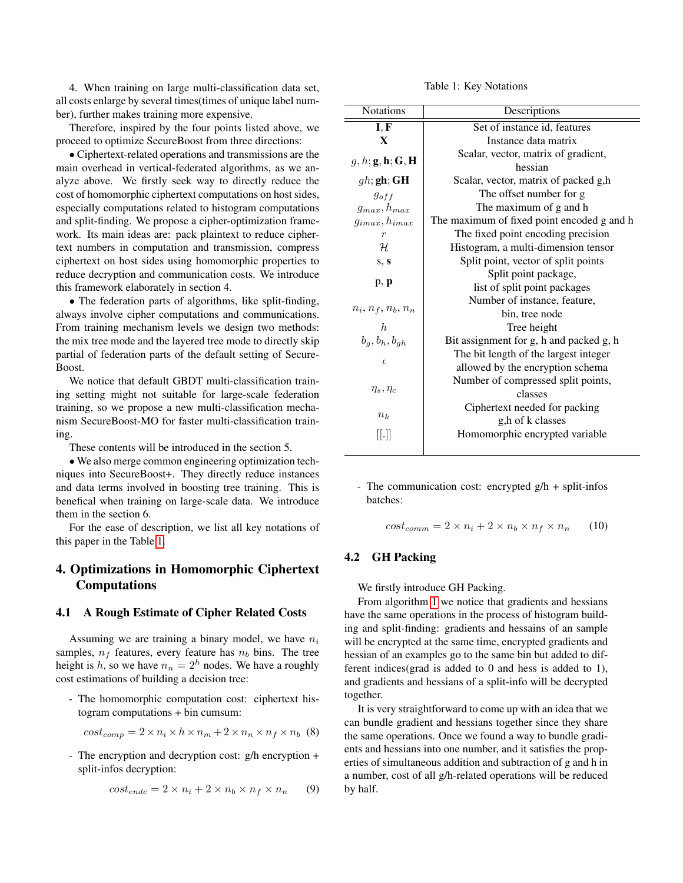4. When training on large multi-classification data set, all costs enlarge by several times(times of unique label number), further makes training more expensive.

Therefore, inspired by the four points listed above, we proceed to optimize SecureBoost from three directions:

• Ciphertext-related operations and transmissions are the main overhead in vertical-federated algorithms, as we analyze above. We firstly seek way to directly reduce the cost of homomorphic ciphertext computations on host sides, especially computations related to histogram computations and split-finding. We propose a cipher-optimization framework. Its main ideas are: pack plaintext to reduce ciphertext numbers in computation and transmission, compress ciphertext on host sides using homomorphic properties to reduce decryption and communication costs. We introduce this framework elaborately in section 4.

• The federation parts of algorithms, like split-finding, always involve cipher computations and communications. From training mechanism levels we design two methods: the mix tree mode and the layered tree mode to directly skip partial of federation parts of the default setting of Secure-Boost.

We notice that default GBDT multi-classification training setting might not suitable for large-scale federation training, so we propose a new multi-classification mechanism SecureBoost-MO for faster multi-classification training.

These contents will be introduced in the section 5.

• We also merge common engineering optimization techniques into SecureBoost+. They directly reduce instances and data terms involved in boosting tree training. This is benefical when training on large-scale data. We introduce them in the section 6.

For the ease of description, we list all key notations of this paper in the Table [1.](#page-3-0)

# 4. Optimizations in Homomorphic Ciphertext Computations

# 4.1 A Rough Estimate of Cipher Related Costs

Assuming we are training a binary model, we have  $n_i$ samples,  $n_f$  features, every feature has  $n_b$  bins. The tree height is h, so we have  $n_n = 2^h$  nodes. We have a roughly cost estimations of building a decision tree:

- The homomorphic computation cost: ciphertext histogram computations + bin cumsum:

<span id="page-3-1"></span>
$$
cost_{comp} = 2 \times n_i \times h \times n_m + 2 \times n_n \times n_f \times n_b
$$
 (8)

- The encryption and decryption cost: g/h encryption + split-infos decryption:

<span id="page-3-2"></span>
$$
cost_{ende} = 2 \times n_i + 2 \times n_b \times n_f \times n_n \qquad (9)
$$

Table 1: Key Notations

<span id="page-3-0"></span>

| <b>Notations</b>                                       | Descriptions                               |  |  |
|--------------------------------------------------------|--------------------------------------------|--|--|
| I, F                                                   | Set of instance id, features               |  |  |
| X                                                      | Instance data matrix                       |  |  |
| $g, h; \mathbf{g}, \mathbf{h}; \mathbf{G}, \mathbf{H}$ | Scalar, vector, matrix of gradient,        |  |  |
|                                                        | hessian                                    |  |  |
| $gh$ ; gh; GH                                          | Scalar, vector, matrix of packed g,h       |  |  |
| $g_{off}$                                              | The offset number for g                    |  |  |
| $g_{max}, h_{max}$                                     | The maximum of g and h                     |  |  |
| $g_{imax}, h_{imax}$                                   | The maximum of fixed point encoded g and h |  |  |
| $\boldsymbol{r}$                                       | The fixed point encoding precision         |  |  |
| $\mathcal{H}_{\cdot}$                                  | Histogram, a multi-dimension tensor        |  |  |
| S, S                                                   | Split point, vector of split points        |  |  |
| p, p                                                   | Split point package,                       |  |  |
|                                                        | list of split point packages               |  |  |
| $n_i$ , $n_f$ , $n_b$ , $n_n$                          | Number of instance, feature,               |  |  |
|                                                        | bin, tree node                             |  |  |
| h                                                      | Tree height                                |  |  |
| $b_q, b_h, b_{gh}$                                     | Bit assignment for g, h and packed g, h    |  |  |
| $\iota$                                                | The bit length of the largest integer      |  |  |
|                                                        | allowed by the encryption schema           |  |  |
| $\eta_s, \eta_c$                                       | Number of compressed split points,         |  |  |
|                                                        | classes                                    |  |  |
| $n_k$                                                  | Ciphertext needed for packing              |  |  |
|                                                        | g,h of k classes                           |  |  |
| .                                                      | Homomorphic encrypted variable             |  |  |
|                                                        |                                            |  |  |

- The communication cost: encrypted g/h + split-infos batches:

<span id="page-3-3"></span> $cost_{comm} = 2 \times n_i + 2 \times n_b \times n_f \times n_n$  (10)

# 4.2 GH Packing

#### We firstly introduce GH Packing.

From algorithm [1](#page-2-0) we notice that gradients and hessians have the same operations in the process of histogram building and split-finding: gradients and hessains of an sample will be encrypted at the same time, encrypted gradients and hessian of an examples go to the same bin but added to different indices(grad is added to 0 and hess is added to 1), and gradients and hessians of a split-info will be decrypted together.

It is very straightforward to come up with an idea that we can bundle gradient and hessians together since they share the same operations. Once we found a way to bundle gradients and hessians into one number, and it satisfies the properties of simultaneous addition and subtraction of g and h in a number, cost of all g/h-related operations will be reduced by half.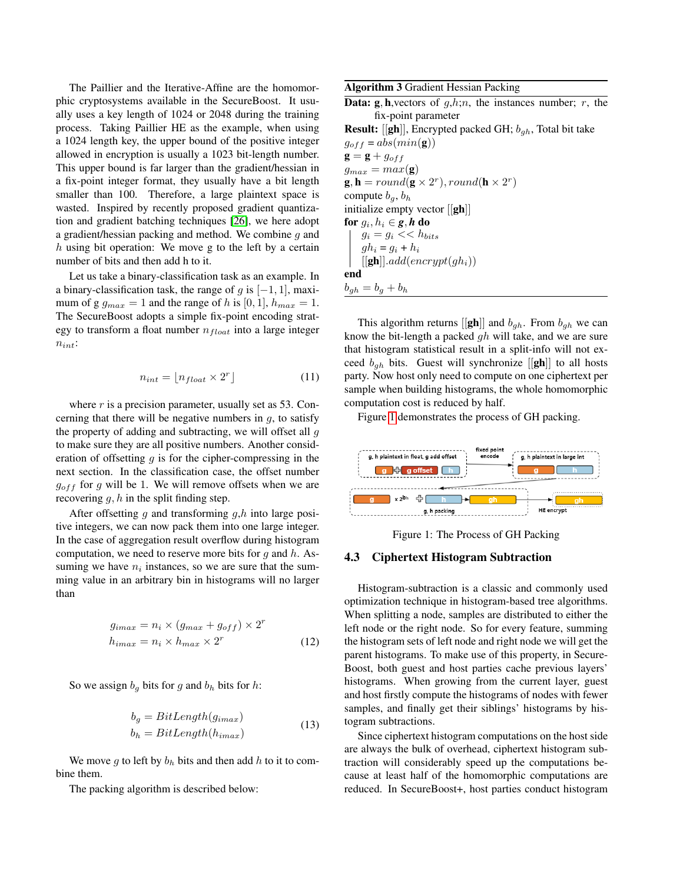The Paillier and the Iterative-Affine are the homomorphic cryptosystems available in the SecureBoost. It usually uses a key length of 1024 or 2048 during the training process. Taking Paillier HE as the example, when using a 1024 length key, the upper bound of the positive integer allowed in encryption is usually a 1023 bit-length number. This upper bound is far larger than the gradient/hessian in a fix-point integer format, they usually have a bit length smaller than 100. Therefore, a large plaintext space is wasted. Inspired by recently proposed gradient quantization and gradient batching techniques [\[26\]](#page-14-14), we here adopt a gradient/hessian packing and method. We combine g and  $h$  using bit operation: We move g to the left by a certain number of bits and then add h to it.

Let us take a binary-classification task as an example. In a binary-classification task, the range of g is  $[-1, 1]$ , maximum of g  $g_{max} = 1$  and the range of h is [0, 1],  $h_{max} = 1$ . The SecureBoost adopts a simple fix-point encoding strategy to transform a float number  $n_{float}$  into a large integer  $n_{int}$ :

<span id="page-4-3"></span>
$$
n_{int} = \lfloor n_{float} \times 2^r \rfloor \tag{11}
$$

where  $r$  is a precision parameter, usually set as 53. Concerning that there will be negative numbers in  $q$ , to satisfy the property of adding and subtracting, we will offset all  $q$ to make sure they are all positive numbers. Another consideration of offsetting  $q$  is for the cipher-compressing in the next section. In the classification case, the offset number  $g_{off}$  for g will be 1. We will remove offsets when we are recovering  $g, h$  in the split finding step.

After offsetting q and transforming  $q,h$  into large positive integers, we can now pack them into one large integer. In the case of aggregation result overflow during histogram computation, we need to reserve more bits for q and  $h$ . Assuming we have  $n_i$  instances, so we are sure that the summing value in an arbitrary bin in histograms will no larger than

$$
g_{imax} = n_i \times (g_{max} + g_{off}) \times 2^r
$$
  
\n
$$
h_{imax} = n_i \times h_{max} \times 2^r
$$
 (12)

So we assign  $b<sub>q</sub>$  bits for g and  $b<sub>h</sub>$  bits for h:

<span id="page-4-1"></span>
$$
b_g = BitLength(g_{imax})
$$
  
\n
$$
b_h = BitLength(h_{imax})
$$
\n(13)

We move g to left by  $b_h$  bits and then add h to it to combine them.

The packing algorithm is described below:

<span id="page-4-2"></span>Algorithm 3 Gradient Hessian Packing

**Data: g, h,** vectors of  $q, h; n$ , the instances number; r, the fix-point parameter

**Result:** [[**gh**]], Encrypted packed GH;  $b_{qh}$ , Total bit take  $g_{off} = abs(min(\mathbf{g}))$  $\mathbf{g} = \mathbf{g} + g_{off}$  $g_{max} = max(\mathbf{g})$  $\mathbf{g}, \mathbf{h} = round(\mathbf{g} \times 2^r), round(\mathbf{h} \times 2^r)$ compute  $b_q$ ,  $b_h$ initialize empty vector  $[[gh]]$ for  $g_i, h_i \in \mathbf{g}, \mathbf{h}$  do  $g_i = g_i \ll h_{bits}$  $gh_i = g_i + h_i$  $[[\mathbf{gh}]]$ .add $(\mathit{encrypt(gh_i)})$ end  $b_{gh} = b_g + b_h$ 

This algorithm returns [[gh]] and  $b_{qh}$ . From  $b_{qh}$  we can know the bit-length a packed  $gh$  will take, and we are sure that histogram statistical result in a split-info will not exceed  $b_{ah}$  bits. Guest will synchronize [[gh]] to all hosts party. Now host only need to compute on one ciphertext per sample when building histograms, the whole homomorphic computation cost is reduced by half.

Figure [1](#page-4-0) demonstrates the process of GH packing.

<span id="page-4-0"></span>

Figure 1: The Process of GH Packing

## 4.3 Ciphertext Histogram Subtraction

Histogram-subtraction is a classic and commonly used optimization technique in histogram-based tree algorithms. When splitting a node, samples are distributed to either the left node or the right node. So for every feature, summing the histogram sets of left node and right node we will get the parent histograms. To make use of this property, in Secure-Boost, both guest and host parties cache previous layers' histograms. When growing from the current layer, guest and host firstly compute the histograms of nodes with fewer samples, and finally get their siblings' histograms by histogram subtractions.

Since ciphertext histogram computations on the host side are always the bulk of overhead, ciphertext histogram subtraction will considerably speed up the computations because at least half of the homomorphic computations are reduced. In SecureBoost+, host parties conduct histogram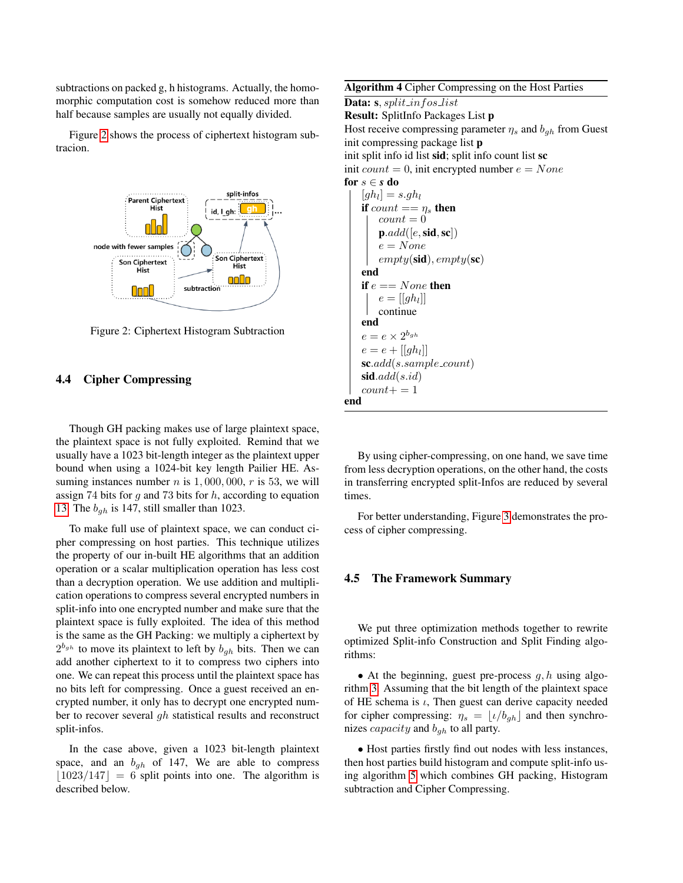subtractions on packed g, h histograms. Actually, the homomorphic computation cost is somehow reduced more than half because samples are usually not equally divided.

Figure [2](#page-5-0) shows the process of ciphertext histogram subtracion.

<span id="page-5-0"></span>

Figure 2: Ciphertext Histogram Subtraction

# 4.4 Cipher Compressing

Though GH packing makes use of large plaintext space, the plaintext space is not fully exploited. Remind that we usually have a 1023 bit-length integer as the plaintext upper bound when using a 1024-bit key length Pailier HE. Assuming instances number n is  $1,000,000, r$  is 53, we will assign 74 bits for  $g$  and 73 bits for  $h$ , according to equation [13.](#page-4-1) The  $b_{qh}$  is 147, still smaller than 1023.

To make full use of plaintext space, we can conduct cipher compressing on host parties. This technique utilizes the property of our in-built HE algorithms that an addition operation or a scalar multiplication operation has less cost than a decryption operation. We use addition and multiplication operations to compress several encrypted numbers in split-info into one encrypted number and make sure that the plaintext space is fully exploited. The idea of this method is the same as the GH Packing: we multiply a ciphertext by  $2^{b_{gh}}$  to move its plaintext to left by  $b_{gh}$  bits. Then we can add another ciphertext to it to compress two ciphers into one. We can repeat this process until the plaintext space has no bits left for compressing. Once a guest received an encrypted number, it only has to decrypt one encrypted number to recover several *qh* statistical results and reconstruct split-infos.

In the case above, given a 1023 bit-length plaintext space, and an  $b_{gh}$  of 147, We are able to compress  $|1023/147| = 6$  split points into one. The algorithm is described below.

Algorithm 4 Cipher Compressing on the Host Parties

Data: s, split\_in fos\_list Result: SplitInfo Packages List p Host receive compressing parameter  $\eta_s$  and  $b_{gh}$  from Guest init compressing package list p init split info id list sid; split info count list sc init count = 0, init encrypted number  $e = None$ for  $s \in s$  do  $[gh_l] = s.gh_l$ if  $count == \eta_s$  then  $count = 0$  $\mathbf{p}.add([e,\text{sid},\text{sc}])$  $e = None$  $empty(\textbf{sid}), empty(\textbf{sc})$ end if  $e == None$  then  $e = [[gh_l]]$ continue end  $e = e \times 2^{b_{gh}}$  $e = e + [[gh_l]]$ sc.add(s.sample\_count)  $\textbf{sid}.add(s.id)$  $count+=1$ end

By using cipher-compressing, on one hand, we save time from less decryption operations, on the other hand, the costs in transferring encrypted split-Infos are reduced by several times.

For better understanding, Figure [3](#page-6-0) demonstrates the process of cipher compressing.

## 4.5 The Framework Summary

We put three optimization methods together to rewrite optimized Split-info Construction and Split Finding algorithms:

• At the beginning, guest pre-process  $g, h$  using algorithm [3.](#page-4-2) Assuming that the bit length of the plaintext space of HE schema is  $\iota$ , Then guest can derive capacity needed for cipher compressing:  $\eta_s = \lfloor \frac{\iota}{b_{gh}} \rfloor$  and then synchronizes *capacity* and  $b_{gh}$  to all party.

• Host parties firstly find out nodes with less instances, then host parties build histogram and compute split-info using algorithm [5](#page-6-1) which combines GH packing, Histogram subtraction and Cipher Compressing.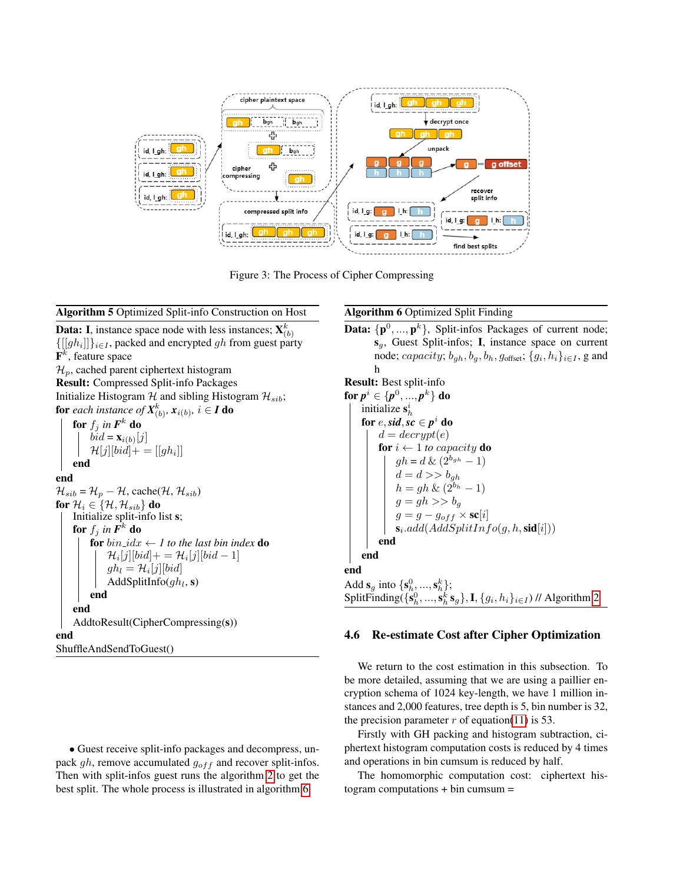<span id="page-6-0"></span>

Figure 3: The Process of Cipher Compressing

## <span id="page-6-1"></span>Algorithm 5 Optimized Split-info Construction on Host

**Data:** I, instance space node with less instances;  $\mathbf{X}_{(b)}^k$  ${[[gh_i]]}_{i\in I}$ , packed and encrypted gh from guest party  $\mathbf{F}^k$ , feature space  $\mathcal{H}_p$ , cached parent ciphertext histogram Result: Compressed Split-info Packages Initialize Histogram  $H$  and sibling Histogram  $\mathcal{H}_{sib}$ ; for *each instance of*  $\pmb{X}^k_{(b)},$   $\pmb{x}_{i(b)},$   $i \in I$  do for  $f_j$  *in*  $\bm{F}^k$  *do*  $bid = \mathbf{x}_{i(b)}[j]$  $\mathcal{H}[j][bid]+{\color{black}=[[gh_i]]}$ end end  $\mathcal{H}_{sib} = \mathcal{H}_p - \mathcal{H}$ , cache $(\mathcal{H}, \mathcal{H}_{sib})$ for  $\mathcal{H}_i \in \{ \mathcal{H}, \mathcal{H}_{sib} \}$  do Initialize split-info list s; for  $f_j$  *in*  $\bm{F}^k$  *do* for  $bin\_idx \leftarrow 1$  to the last bin index **do**  $\mathcal{H}_i[j][bid] += \mathcal{H}_i[j][bid-1]$  $gh_l = H_i[j][bid]$ AddSplitInfo $(gh_l, s)$ end end

AddtoResult(CipherCompressing(s)) end ShuffleAndSendToGuest()

• Guest receive split-info packages and decompress, unpack  $gh$ , remove accumulated  $g_{off}$  and recover split-infos. Then with split-infos guest runs the algorithm [2](#page-2-1) to get the best split. The whole process is illustrated in algorithm [6.](#page-6-2)

<span id="page-6-2"></span>Algorithm 6 Optimized Split Finding

**Data:** { $\mathbf{p}^0$ , ...,  $\mathbf{p}^k$ }, Split-infos Packages of current node;  $s<sub>g</sub>$ , Guest Split-infos; I, instance space on current node;  $capacity; b_{gh}, b_g, b_h, g_{offset}; \{g_i, h_i\}_{i \in I}$ , g and h Result: Best split-info for  $\pmb{p}^i \in \{\pmb{p}^0,...,\pmb{p}^k\}$  do initialize  $\mathbf{s}_h^i$ for  $e,s$ *id*, s $c \in p^i$  do

```
d = decrypt(e)for i \leftarrow 1 to capacity do
               gh = d \& (2^{b_{gh}} - 1)d = d >> b_{gh}h = gh \& (2^{b_h} - 1)g = gh >> b_gg = g - g_{off} \times \mathbf{sc}[i]\mathbf{s}_i.add(AddSplitInfo(g,h,\text{sid}[i]))end
    end
end
Add \mathbf{s}_g into \{\mathbf{s}_h^0, ..., \mathbf{s}_h^k\};SplitFinding(\{s_h^0, ..., s_h^k s_g\}, I, \{g_i, h_i\}_{i \in I} 2
```
# 4.6 Re-estimate Cost after Cipher Optimization

We return to the cost estimation in this subsection. To be more detailed, assuming that we are using a paillier encryption schema of 1024 key-length, we have 1 million instances and 2,000 features, tree depth is 5, bin number is 32, the precision parameter  $r$  of equation[\(11\)](#page-4-3) is 53.

Firstly with GH packing and histogram subtraction, ciphertext histogram computation costs is reduced by 4 times and operations in bin cumsum is reduced by half.

The homomorphic computation cost: ciphertext his $togram$  computations  $+ bin$  cumsum  $=$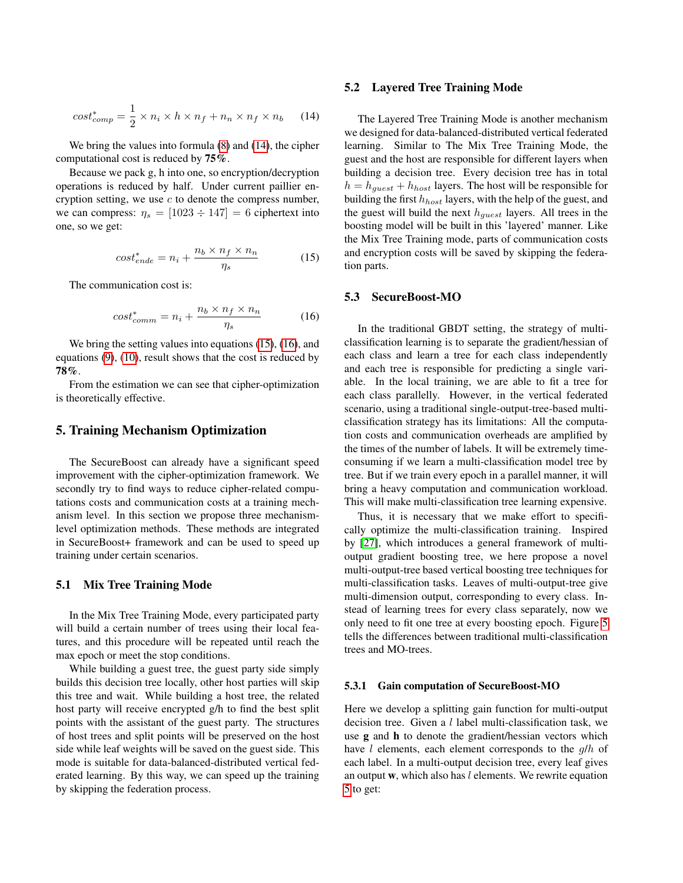<span id="page-7-0"></span>
$$
cost_{comp}^{*} = \frac{1}{2} \times n_i \times h \times n_f + n_n \times n_f \times n_b \tag{14}
$$

We bring the values into formula  $(8)$  and  $(14)$ , the cipher computational cost is reduced by 75%.

Because we pack g, h into one, so encryption/decryption operations is reduced by half. Under current paillier encryption setting, we use  $c$  to denote the compress number, we can compress:  $\eta_s = [1023 \div 147] = 6$  ciphertext into one, so we get:

<span id="page-7-1"></span>
$$
cost_{ende}^{*} = n_i + \frac{n_b \times n_f \times n_n}{\eta_s} \tag{15}
$$

The communication cost is:

<span id="page-7-2"></span>
$$
cost_{comm}^{*} = n_i + \frac{n_b \times n_f \times n_n}{\eta_s} \tag{16}
$$

We bring the setting values into equations [\(15\)](#page-7-1), [\(16\)](#page-7-2), and equations [\(9\)](#page-3-2), [\(10\)](#page-3-3), result shows that the cost is reduced by 78%.

From the estimation we can see that cipher-optimization is theoretically effective.

# 5. Training Mechanism Optimization

The SecureBoost can already have a significant speed improvement with the cipher-optimization framework. We secondly try to find ways to reduce cipher-related computations costs and communication costs at a training mechanism level. In this section we propose three mechanismlevel optimization methods. These methods are integrated in SecureBoost+ framework and can be used to speed up training under certain scenarios.

## 5.1 Mix Tree Training Mode

In the Mix Tree Training Mode, every participated party will build a certain number of trees using their local features, and this procedure will be repeated until reach the max epoch or meet the stop conditions.

While building a guest tree, the guest party side simply builds this decision tree locally, other host parties will skip this tree and wait. While building a host tree, the related host party will receive encrypted g/h to find the best split points with the assistant of the guest party. The structures of host trees and split points will be preserved on the host side while leaf weights will be saved on the guest side. This mode is suitable for data-balanced-distributed vertical federated learning. By this way, we can speed up the training by skipping the federation process.

## 5.2 Layered Tree Training Mode

The Layered Tree Training Mode is another mechanism we designed for data-balanced-distributed vertical federated learning. Similar to The Mix Tree Training Mode, the guest and the host are responsible for different layers when building a decision tree. Every decision tree has in total  $h = h_{quest} + h_{host}$  layers. The host will be responsible for building the first  $h_{host}$  layers, with the help of the guest, and the guest will build the next  $h_{quest}$  layers. All trees in the boosting model will be built in this 'layered' manner. Like the Mix Tree Training mode, parts of communication costs and encryption costs will be saved by skipping the federation parts.

#### 5.3 SecureBoost-MO

In the traditional GBDT setting, the strategy of multiclassification learning is to separate the gradient/hessian of each class and learn a tree for each class independently and each tree is responsible for predicting a single variable. In the local training, we are able to fit a tree for each class parallelly. However, in the vertical federated scenario, using a traditional single-output-tree-based multiclassification strategy has its limitations: All the computation costs and communication overheads are amplified by the times of the number of labels. It will be extremely timeconsuming if we learn a multi-classification model tree by tree. But if we train every epoch in a parallel manner, it will bring a heavy computation and communication workload. This will make multi-classification tree learning expensive.

Thus, it is necessary that we make effort to specifically optimize the multi-classification training. Inspired by [\[27\]](#page-14-15), which introduces a general framework of multioutput gradient boosting tree, we here propose a novel multi-output-tree based vertical boosting tree techniques for multi-classification tasks. Leaves of multi-output-tree give multi-dimension output, corresponding to every class. Instead of learning trees for every class separately, now we only need to fit one tree at every boosting epoch. Figure [5](#page-8-0) tells the differences between traditional multi-classification trees and MO-trees.

#### 5.3.1 Gain computation of SecureBoost-MO

Here we develop a splitting gain function for multi-output decision tree. Given a  $l$  label multi-classification task, we use g and h to denote the gradient/hessian vectors which have  $l$  elements, each element corresponds to the  $g/h$  of each label. In a multi-output decision tree, every leaf gives an output  $w$ , which also has  $l$  elements. We rewrite equation [5](#page-1-4) to get: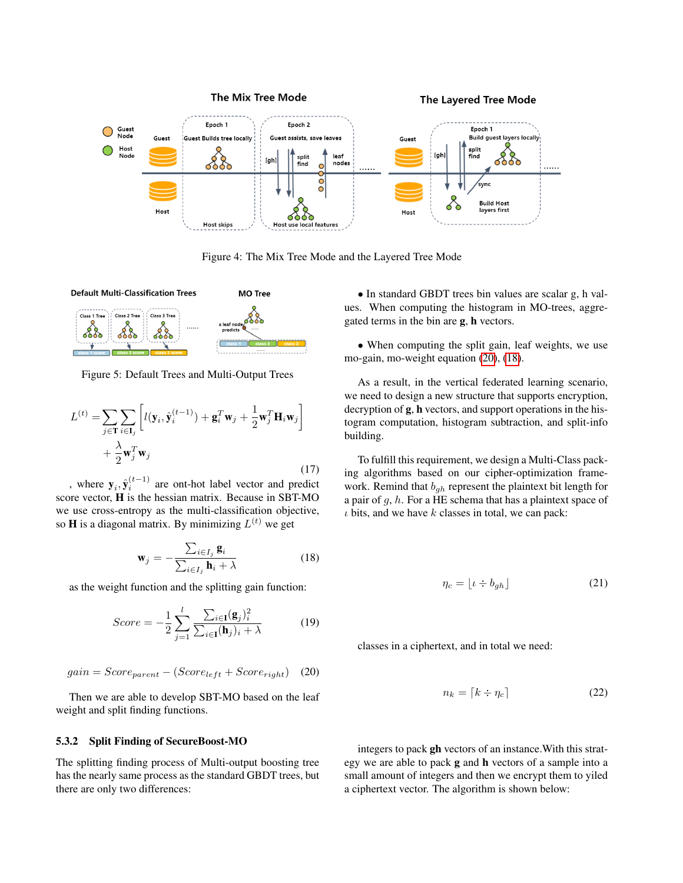

Figure 4: The Mix Tree Mode and the Layered Tree Mode

<span id="page-8-0"></span>

Figure 5: Default Trees and Multi-Output Trees

$$
L^{(t)} = \sum_{j \in \mathbf{T}} \sum_{i \in \mathbf{I}_j} \left[ l(\mathbf{y}_i, \hat{\mathbf{y}}_i^{(t-1)}) + \mathbf{g}_i^T \mathbf{w}_j + \frac{1}{2} \mathbf{w}_j^T \mathbf{H}_i \mathbf{w}_j \right] + \frac{\lambda}{2} \mathbf{w}_j^T \mathbf{w}_j
$$
\n(17)

, where  $y_i$ ,  $\hat{y}_i^{(t-1)}$  are ont-hot label vector and predict score vector, H is the hessian matrix. Because in SBT-MO we use cross-entropy as the multi-classification objective, so **H** is a diagonal matrix. By minimizing  $L^{(t)}$  we get

<span id="page-8-2"></span>
$$
\mathbf{w}_{j} = -\frac{\sum_{i \in I_{j}} \mathbf{g}_{i}}{\sum_{i \in I_{j}} \mathbf{h}_{i} + \lambda}
$$
(18)

as the weight function and the splitting gain function:

$$
Score = -\frac{1}{2} \sum_{j=1}^{l} \frac{\sum_{i \in \mathbf{I}} (\mathbf{g}_j)_i^2}{\sum_{i \in \mathbf{I}} (\mathbf{h}_j)_i + \lambda}
$$
(19)

<span id="page-8-1"></span>
$$
gain = Score_{parent} - (Score_{left} + Score_{right}) \quad (20)
$$

Then we are able to develop SBT-MO based on the leaf weight and split finding functions.

## 5.3.2 Split Finding of SecureBoost-MO

The splitting finding process of Multi-output boosting tree has the nearly same process as the standard GBDT trees, but there are only two differences:

• In standard GBDT trees bin values are scalar g, h values. When computing the histogram in MO-trees, aggregated terms in the bin are g, h vectors.

• When computing the split gain, leaf weights, we use mo-gain, mo-weight equation [\(20\)](#page-8-1), [\(18\)](#page-8-2).

As a result, in the vertical federated learning scenario, we need to design a new structure that supports encryption, decryption of g, h vectors, and support operations in the histogram computation, histogram subtraction, and split-info building.

To fulfill this requirement, we design a Multi-Class packing algorithms based on our cipher-optimization framework. Remind that  $b_{ah}$  represent the plaintext bit length for a pair of  $q, h$ . For a HE schema that has a plaintext space of  $\iota$  bits, and we have  $k$  classes in total, we can pack:

$$
\eta_c = \lfloor \iota \div b_{gh} \rfloor \tag{21}
$$

classes in a ciphertext, and in total we need:

$$
n_k = \lceil k \div \eta_c \rceil \tag{22}
$$

integers to pack gh vectors of an instance.With this strategy we are able to pack g and h vectors of a sample into a small amount of integers and then we encrypt them to yiled a ciphertext vector. The algorithm is shown below: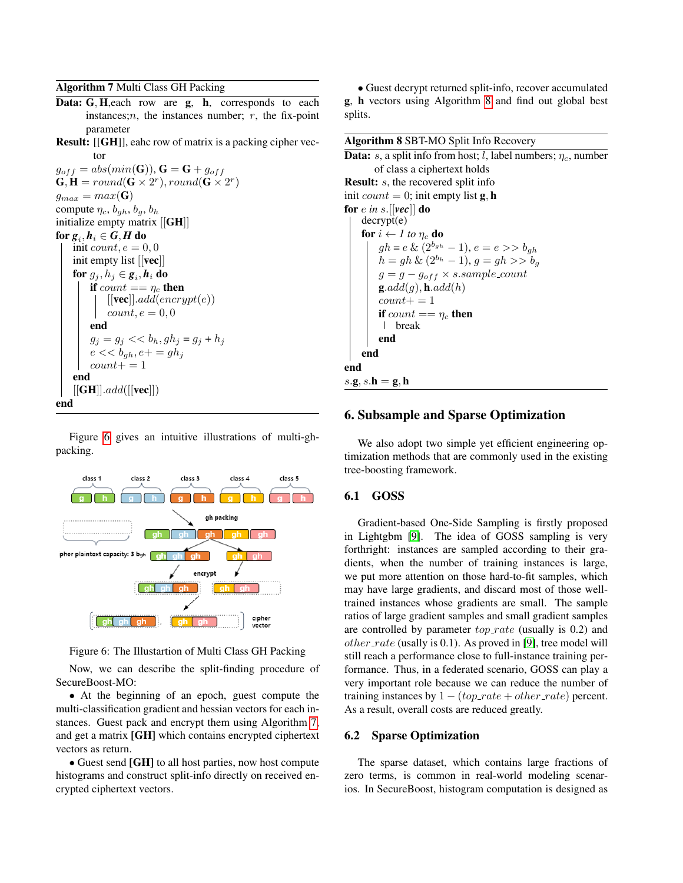<span id="page-9-1"></span>Algorithm 7 Multi Class GH Packing

- Data: G, H, each row are g, h, corresponds to each instances; $n$ , the instances number;  $r$ , the fix-point parameter
- Result: [[GH]], eahc row of matrix is a packing cipher vector

 $g_{off} = abs(min(\mathbf{G}))$ ,  $\mathbf{G} = \mathbf{G} + g_{off}$  $\mathbf{G}, \mathbf{H} = round(\mathbf{G} \times 2^r), round(\mathbf{G} \times 2^r)$  $g_{max} = max(G)$ compute  $\eta_c$ ,  $b_{gh}$ ,  $b_g$ ,  $b_h$ initialize empty matrix [[GH]] for  $g_{\overline{i}}, h_i \in G, H$  do init *count*,  $e = 0, 0$ init empty list [[vec]] for  $g_j, h_j \in \mathbf{g}_i, \mathbf{h}_i$  do if count  $== \eta_c$  then  $[[\text{vec}].add(encrypt(e))]$  $count, e = 0, 0$ end  $g_j = g_j \ll b_h, gh_j = g_j + h_j$  $e \ll b_{ah}, e+=gh_i$  $count+=1$ end  $[[GH]].add([[vec]])$ end

Figure [6](#page-9-0) gives an intuitive illustrations of multi-ghpacking.

<span id="page-9-0"></span>



Now, we can describe the split-finding procedure of SecureBoost-MO:

• At the beginning of an epoch, guest compute the multi-classification gradient and hessian vectors for each instances. Guest pack and encrypt them using Algorithm [7,](#page-9-1) and get a matrix [GH] which contains encrypted ciphertext vectors as return.

• Guest send [GH] to all host parties, now host compute histograms and construct split-info directly on received encrypted ciphertext vectors.

• Guest decrypt returned split-info, recover accumulated g, h vectors using Algorithm [8](#page-9-2) and find out global best splits.

#### <span id="page-9-2"></span>Algorithm 8 SBT-MO Split Info Recovery

**Data:** s, a split info from host; l, label numbers;  $\eta_c$ , number of class a ciphertext holds **Result:** *s*, the recovered split info init *count* = 0; init empty list **g**, **h** for e *in* s.[[*vec*]] do decrypt(e) for  $i \leftarrow l$  to  $\eta_c$  do  $gh = e \& (2^{b_{gh}} - 1), e = e \gg b_{gh}$  $h = gh \& (2^{b_h} - 1), g = gh \gg b_g$  $g = g - g_{off} \times s. sample\_count$  $\mathbf{g}.add(g), \mathbf{h}.add(h)$  $count+=1$ if count  $== \eta_c$  then break end end end  $s.g, s.h = g, h$ 

# 6. Subsample and Sparse Optimization

We also adopt two simple yet efficient engineering optimization methods that are commonly used in the existing tree-boosting framework.

# 6.1 GOSS

Gradient-based One-Side Sampling is firstly proposed in Lightgbm [\[9\]](#page-13-5). The idea of GOSS sampling is very forthright: instances are sampled according to their gradients, when the number of training instances is large, we put more attention on those hard-to-fit samples, which may have large gradients, and discard most of those welltrained instances whose gradients are small. The sample ratios of large gradient samples and small gradient samples are controlled by parameter  $top_rate$  (usually is 0.2) and  $other\_rate$  (usally is 0.1). As proved in [\[9\]](#page-13-5), tree model will still reach a performance close to full-instance training performance. Thus, in a federated scenario, GOSS can play a very important role because we can reduce the number of training instances by  $1 - (top_rate + other_rate)$  percent. As a result, overall costs are reduced greatly.

## 6.2 Sparse Optimization

The sparse dataset, which contains large fractions of zero terms, is common in real-world modeling scenarios. In SecureBoost, histogram computation is designed as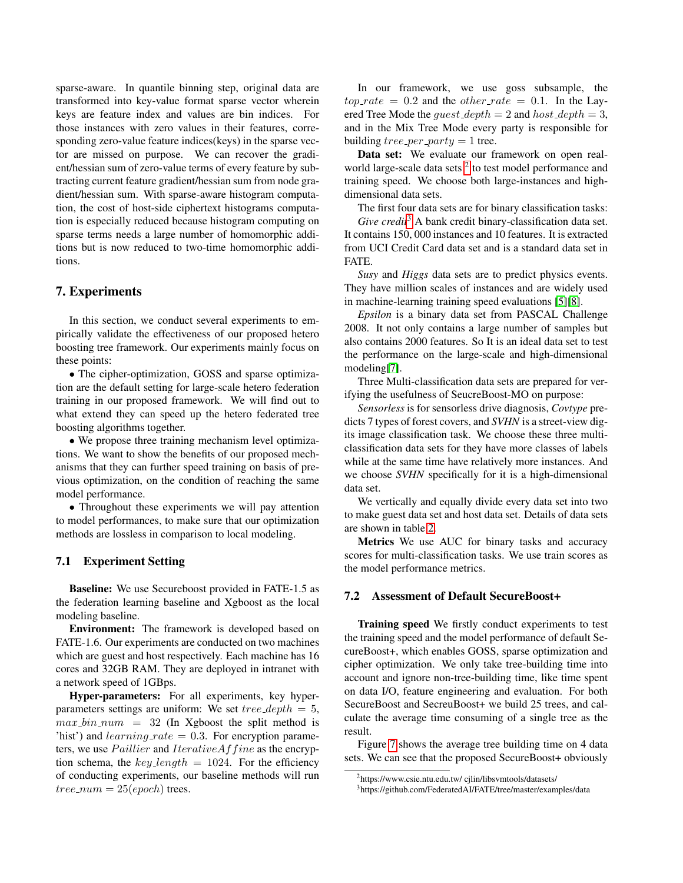sparse-aware. In quantile binning step, original data are transformed into key-value format sparse vector wherein keys are feature index and values are bin indices. For those instances with zero values in their features, corresponding zero-value feature indices(keys) in the sparse vector are missed on purpose. We can recover the gradient/hessian sum of zero-value terms of every feature by subtracting current feature gradient/hessian sum from node gradient/hessian sum. With sparse-aware histogram computation, the cost of host-side ciphertext histograms computation is especially reduced because histogram computing on sparse terms needs a large number of homomorphic additions but is now reduced to two-time homomorphic additions.

# 7. Experiments

In this section, we conduct several experiments to empirically validate the effectiveness of our proposed hetero boosting tree framework. Our experiments mainly focus on these points:

• The cipher-optimization, GOSS and sparse optimization are the default setting for large-scale hetero federation training in our proposed framework. We will find out to what extend they can speed up the hetero federated tree boosting algorithms together.

• We propose three training mechanism level optimizations. We want to show the benefits of our proposed mechanisms that they can further speed training on basis of previous optimization, on the condition of reaching the same model performance.

• Throughout these experiments we will pay attention to model performances, to make sure that our optimization methods are lossless in comparison to local modeling.

## 7.1 Experiment Setting

Baseline: We use Secureboost provided in FATE-1.5 as the federation learning baseline and Xgboost as the local modeling baseline.

Environment: The framework is developed based on FATE-1.6. Our experiments are conducted on two machines which are guest and host respectively. Each machine has 16 cores and 32GB RAM. They are deployed in intranet with a network speed of 1GBps.

Hyper-parameters: For all experiments, key hyperparameters settings are uniform: We set  $tree\_{depth} = 5$ ,  $max\_bin\_num = 32$  (In Xgboost the split method is 'hist') and  $learning_rate = 0.3$ . For encryption parameters, we use *Paillier* and *IterativeAffine* as the encryption schema, the  $key\_length = 1024$ . For the efficiency of conducting experiments, our baseline methods will run  $tree\_num = 25(epoch)$  trees.

In our framework, we use goss subsample, the  $top_rate = 0.2$  and the *other\_rate* = 0.1. In the Layered Tree Mode the *quest\_depth* = 2 and *host\_depth* = 3, and in the Mix Tree Mode every party is responsible for building tree\_per\_party = 1 tree.

Data set: We evaluate our framework on open real-world large-scale data sets<sup>[2](#page-10-0)</sup> to test model performance and training speed. We choose both large-instances and highdimensional data sets.

The first four data sets are for binary classification tasks:  $Give credit<sup>3</sup>$  $Give credit<sup>3</sup>$  $Give credit<sup>3</sup>$  A bank credit binary-classification data set. It contains 150, 000 instances and 10 features. It is extracted from UCI Credit Card data set and is a standard data set in FATE.

*Susy* and *Higgs* data sets are to predict physics events. They have million scales of instances and are widely used in machine-learning training speed evaluations [\[5\]](#page-13-4)[\[8\]](#page-13-10).

*Epsilon* is a binary data set from PASCAL Challenge 2008. It not only contains a large number of samples but also contains 2000 features. So It is an ideal data set to test the performance on the large-scale and high-dimensional modeling[\[7\]](#page-13-6).

Three Multi-classification data sets are prepared for verifying the usefulness of SeucreBoost-MO on purpose:

*Sensorless* is for sensorless drive diagnosis, *Covtype* predicts 7 types of forest covers, and *SVHN* is a street-view digits image classification task. We choose these three multiclassification data sets for they have more classes of labels while at the same time have relatively more instances. And we choose *SVHN* specifically for it is a high-dimensional data set.

We vertically and equally divide every data set into two to make guest data set and host data set. Details of data sets are shown in table [2.](#page-11-0)

Metrics We use AUC for binary tasks and accuracy scores for multi-classification tasks. We use train scores as the model performance metrics.

#### 7.2 Assessment of Default SecureBoost+

Training speed We firstly conduct experiments to test the training speed and the model performance of default SecureBoost+, which enables GOSS, sparse optimization and cipher optimization. We only take tree-building time into account and ignore non-tree-building time, like time spent on data I/O, feature engineering and evaluation. For both SecureBoost and SecreuBoost+ we build 25 trees, and calculate the average time consuming of a single tree as the result.

Figure [7](#page-11-1) shows the average tree building time on 4 data sets. We can see that the proposed SecureBoost+ obviously

<span id="page-10-0"></span><sup>2</sup>https://www.csie.ntu.edu.tw/ cjlin/libsvmtools/datasets/

<span id="page-10-1"></span><sup>3</sup>https://github.com/FederatedAI/FATE/tree/master/examples/data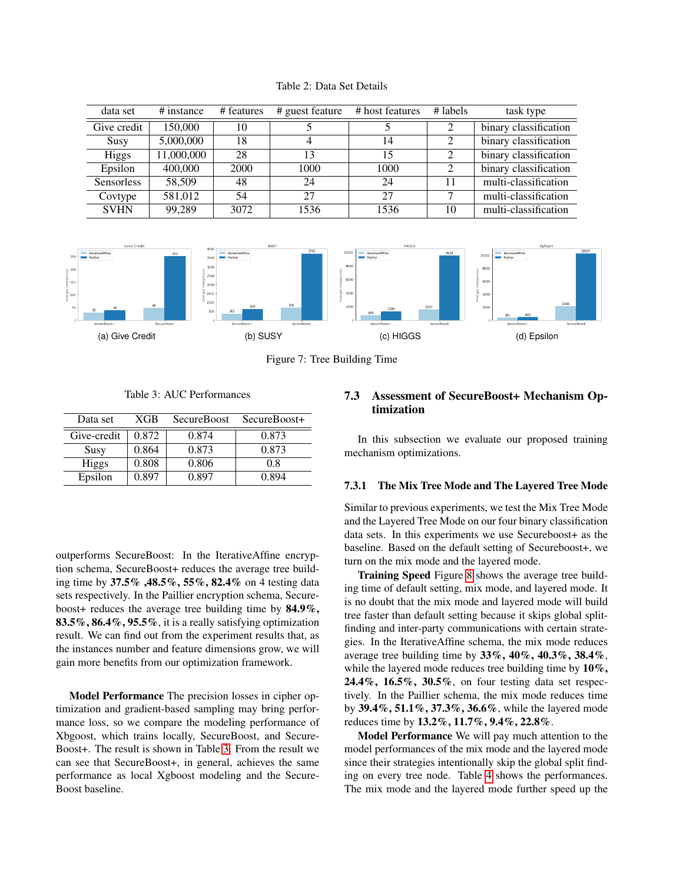<span id="page-11-0"></span>

| data set          | # instance | # features | # guest feature | # host features | # labels | task type             |
|-------------------|------------|------------|-----------------|-----------------|----------|-----------------------|
| Give credit       | 150,000    | 10         |                 |                 |          | binary classification |
| Susy              | 5,000,000  | 18         | 4               | 14              | 2        | binary classification |
| <b>Higgs</b>      | 11,000,000 | 28         | 13              | 15              | ↑        | binary classification |
| Epsilon           | 400,000    | 2000       | 1000            | 1000            | 2        | binary classification |
| <b>Sensorless</b> | 58,509     | 48         | 24              | 24              | 11       | multi-classification  |
| Covtype           | 581,012    | 54         | 27              | 27              |          | multi-classification  |
| <b>SVHN</b>       | 99,289     | 3072       | 1536            | 1536            | 10       | multi-classification  |

<span id="page-11-1"></span>

Figure 7: Tree Building Time

Table 3: AUC Performances

<span id="page-11-2"></span>

| Data set     | <b>XGB</b> | <b>SecureBoost</b> | SecureBoost+ |
|--------------|------------|--------------------|--------------|
| Give-credit  | 0.872      | 0.874              | 0.873        |
| Susy         | 0.864      | 0.873              | 0.873        |
| <b>Higgs</b> | 0.808      | 0.806              | 0.8          |
| Epsilon      | 0.897      | 0.897              | 0.894        |

outperforms SecureBoost: In the IterativeAffine encryption schema, SecureBoost+ reduces the average tree building time by 37.5% ,48.5%, 55%, 82.4% on 4 testing data sets respectively. In the Paillier encryption schema, Secureboost+ reduces the average tree building time by 84.9%, 83.5%, 86.4%, 95.5%, it is a really satisfying optimization result. We can find out from the experiment results that, as the instances number and feature dimensions grow, we will gain more benefits from our optimization framework.

Model Performance The precision losses in cipher optimization and gradient-based sampling may bring performance loss, so we compare the modeling performance of Xbgoost, which trains locally, SecureBoost, and Secure-Boost+. The result is shown in Table [3.](#page-11-2) From the result we can see that SecureBoost+, in general, achieves the same performance as local Xgboost modeling and the Secure-Boost baseline.

# 7.3 Assessment of SecureBoost+ Mechanism Optimization

In this subsection we evaluate our proposed training mechanism optimizations.

#### 7.3.1 The Mix Tree Mode and The Layered Tree Mode

Similar to previous experiments, we test the Mix Tree Mode and the Layered Tree Mode on our four binary classification data sets. In this experiments we use Secureboost+ as the baseline. Based on the default setting of Secureboost+, we turn on the mix mode and the layered mode.

Training Speed Figure [8](#page-12-0) shows the average tree building time of default setting, mix mode, and layered mode. It is no doubt that the mix mode and layered mode will build tree faster than default setting because it skips global splitfinding and inter-party communications with certain strategies. In the IterativeAffine schema, the mix mode reduces average tree building time by  $33\%, 40\%, 40.3\%, 38.4\%,$ while the layered mode reduces tree building time by  $10\%$ , 24.4%, 16.5%, 30.5%, on four testing data set respectively. In the Paillier schema, the mix mode reduces time by 39.4%, 51.1%, 37.3%, 36.6%, while the layered mode reduces time by 13.2%, 11.7%, 9.4%, 22.8%.

Model Performance We will pay much attention to the model performances of the mix mode and the layered mode since their strategies intentionally skip the global split finding on every tree node. Table [4](#page-12-1) shows the performances. The mix mode and the layered mode further speed up the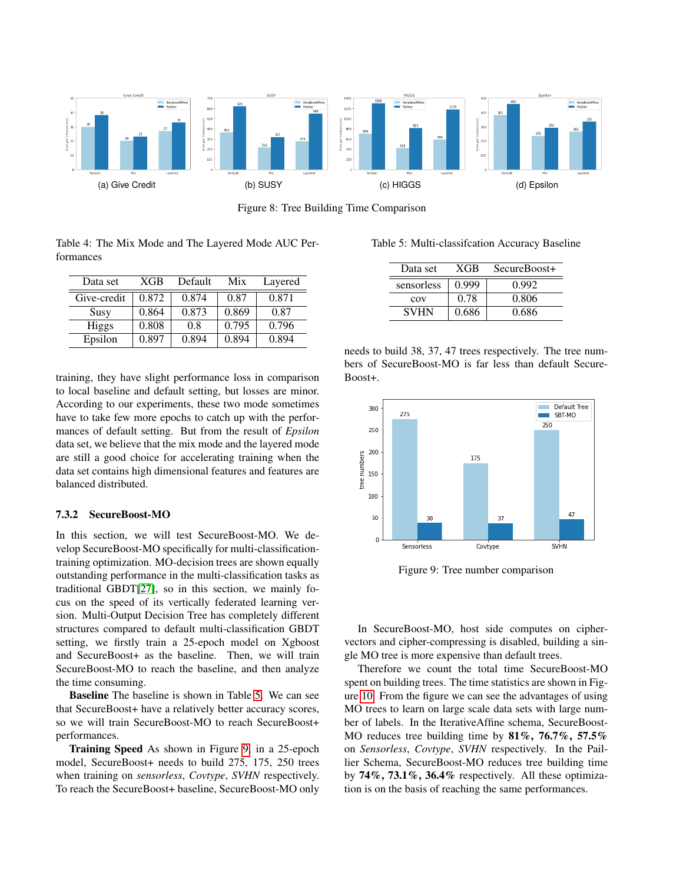<span id="page-12-0"></span>

Figure 8: Tree Building Time Comparison

<span id="page-12-1"></span>Table 4: The Mix Mode and The Layered Mode AUC Performances

| Data set     | XGB   | Default | Mix   | Layered |
|--------------|-------|---------|-------|---------|
| Give-credit  | 0.872 | 0.874   | 0.87  | 0.871   |
| Susy         | 0.864 | 0.873   | 0.869 | 0.87    |
| <b>Higgs</b> | 0.808 | 0.8     | 0.795 | 0.796   |
| Epsilon      | 0.897 | 0.894   | 0.894 | 0.894   |

training, they have slight performance loss in comparison to local baseline and default setting, but losses are minor. According to our experiments, these two mode sometimes have to take few more epochs to catch up with the performances of default setting. But from the result of *Epsilon* data set, we believe that the mix mode and the layered mode are still a good choice for accelerating training when the data set contains high dimensional features and features are balanced distributed.

## 7.3.2 SecureBoost-MO

In this section, we will test SecureBoost-MO. We develop SecureBoost-MO specifically for multi-classificationtraining optimization. MO-decision trees are shown equally outstanding performance in the multi-classification tasks as traditional GBDT[\[27\]](#page-14-15), so in this section, we mainly focus on the speed of its vertically federated learning version. Multi-Output Decision Tree has completely different structures compared to default multi-classification GBDT setting, we firstly train a 25-epoch model on Xgboost and SecureBoost+ as the baseline. Then, we will train SecureBoost-MO to reach the baseline, and then analyze the time consuming.

Baseline The baseline is shown in Table [5.](#page-12-2) We can see that SecureBoost+ have a relatively better accuracy scores, so we will train SecureBoost-MO to reach SecureBoost+ performances.

Training Speed As shown in Figure [9,](#page-12-3) in a 25-epoch model, SecureBoost+ needs to build 275, 175, 250 trees when training on *sensorless*, *Covtype*, *SVHN* respectively. To reach the SecureBoost+ baseline, SecureBoost-MO only

<span id="page-12-2"></span>Table 5: Multi-classifcation Accuracy Baseline

| Data set    | XGB   | SecureBoost+ |
|-------------|-------|--------------|
| sensorless  | 0.999 | 0.992        |
| COV         | 0.78  | 0.806        |
| <b>SVHN</b> | 0.686 | 0.686        |

needs to build 38, 37, 47 trees respectively. The tree numbers of SecureBoost-MO is far less than default Secure-Boost+.

<span id="page-12-3"></span>

Figure 9: Tree number comparison

In SecureBoost-MO, host side computes on ciphervectors and cipher-compressing is disabled, building a single MO tree is more expensive than default trees.

Therefore we count the total time SecureBoost-MO spent on building trees. The time statistics are shown in Figure [10.](#page-13-11) From the figure we can see the advantages of using MO trees to learn on large scale data sets with large number of labels. In the IterativeAffine schema, SecureBoost-MO reduces tree building time by 81%, 76.7%, 57.5% on *Sensorless*, *Covtype*, *SVHN* respectively. In the Paillier Schema, SecureBoost-MO reduces tree building time by  $74\%, 73.1\%, 36.4\%$  respectively. All these optimization is on the basis of reaching the same performances.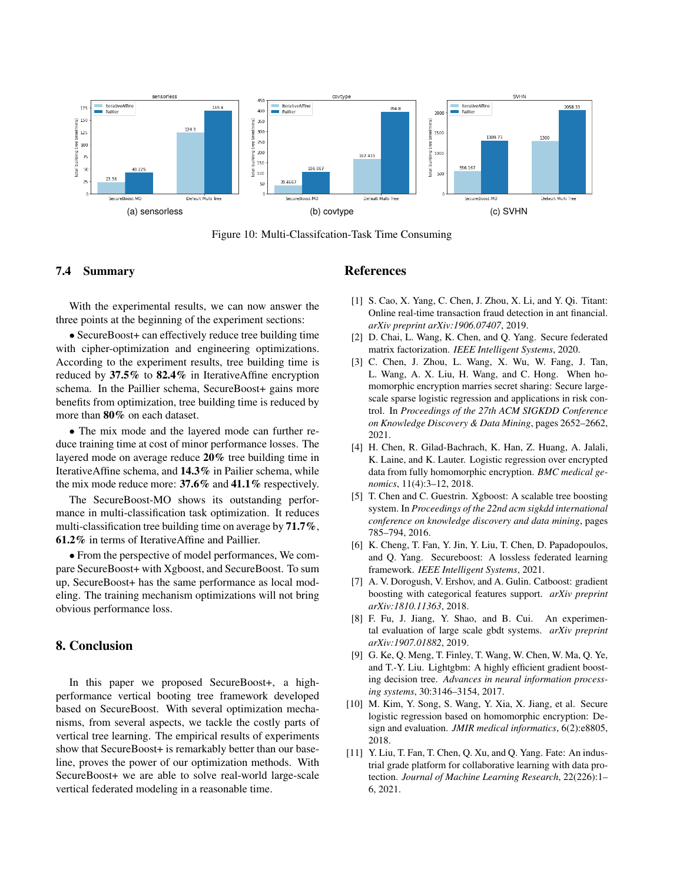<span id="page-13-11"></span>

Figure 10: Multi-Classifcation-Task Time Consuming

#### 7.4 Summary

With the experimental results, we can now answer the three points at the beginning of the experiment sections:

• SecureBoost+ can effectively reduce tree building time with cipher-optimization and engineering optimizations. According to the experiment results, tree building time is reduced by 37.5% to 82.4% in IterativeAffine encryption schema. In the Paillier schema, SecureBoost+ gains more benefits from optimization, tree building time is reduced by more than 80% on each dataset.

• The mix mode and the layered mode can further reduce training time at cost of minor performance losses. The layered mode on average reduce 20% tree building time in IterativeAffine schema, and 14.3% in Pailier schema, while the mix mode reduce more: 37.6% and 41.1% respectively.

The SecureBoost-MO shows its outstanding performance in multi-classification task optimization. It reduces multi-classification tree building time on average by 71.7%, 61.2% in terms of IterativeAffine and Paillier.

• From the perspective of model performances, We compare SecureBoost+ with Xgboost, and SecureBoost. To sum up, SecureBoost+ has the same performance as local modeling. The training mechanism optimizations will not bring obvious performance loss.

# 8. Conclusion

In this paper we proposed SecureBoost+, a highperformance vertical booting tree framework developed based on SecureBoost. With several optimization mechanisms, from several aspects, we tackle the costly parts of vertical tree learning. The empirical results of experiments show that SecureBoost+ is remarkably better than our baseline, proves the power of our optimization methods. With SecureBoost+ we are able to solve real-world large-scale vertical federated modeling in a reasonable time.

# References

- <span id="page-13-7"></span>[1] S. Cao, X. Yang, C. Chen, J. Zhou, X. Li, and Y. Qi. Titant: Online real-time transaction fraud detection in ant financial. *arXiv preprint arXiv:1906.07407*, 2019.
- <span id="page-13-3"></span>[2] D. Chai, L. Wang, K. Chen, and Q. Yang. Secure federated matrix factorization. *IEEE Intelligent Systems*, 2020.
- <span id="page-13-0"></span>[3] C. Chen, J. Zhou, L. Wang, X. Wu, W. Fang, J. Tan, L. Wang, A. X. Liu, H. Wang, and C. Hong. When homomorphic encryption marries secret sharing: Secure largescale sparse logistic regression and applications in risk control. In *Proceedings of the 27th ACM SIGKDD Conference on Knowledge Discovery & Data Mining*, pages 2652–2662, 2021.
- <span id="page-13-1"></span>[4] H. Chen, R. Gilad-Bachrach, K. Han, Z. Huang, A. Jalali, K. Laine, and K. Lauter. Logistic regression over encrypted data from fully homomorphic encryption. *BMC medical genomics*, 11(4):3–12, 2018.
- <span id="page-13-4"></span>[5] T. Chen and C. Guestrin. Xgboost: A scalable tree boosting system. In *Proceedings of the 22nd acm sigkdd international conference on knowledge discovery and data mining*, pages 785–794, 2016.
- <span id="page-13-8"></span>[6] K. Cheng, T. Fan, Y. Jin, Y. Liu, T. Chen, D. Papadopoulos, and Q. Yang. Secureboost: A lossless federated learning framework. *IEEE Intelligent Systems*, 2021.
- <span id="page-13-6"></span>[7] A. V. Dorogush, V. Ershov, and A. Gulin. Catboost: gradient boosting with categorical features support. *arXiv preprint arXiv:1810.11363*, 2018.
- <span id="page-13-10"></span>[8] F. Fu, J. Jiang, Y. Shao, and B. Cui. An experimental evaluation of large scale gbdt systems. *arXiv preprint arXiv:1907.01882*, 2019.
- <span id="page-13-5"></span>[9] G. Ke, Q. Meng, T. Finley, T. Wang, W. Chen, W. Ma, Q. Ye, and T.-Y. Liu. Lightgbm: A highly efficient gradient boosting decision tree. *Advances in neural information processing systems*, 30:3146–3154, 2017.
- <span id="page-13-2"></span>[10] M. Kim, Y. Song, S. Wang, Y. Xia, X. Jiang, et al. Secure logistic regression based on homomorphic encryption: Design and evaluation. *JMIR medical informatics*, 6(2):e8805, 2018.
- <span id="page-13-9"></span>[11] Y. Liu, T. Fan, T. Chen, Q. Xu, and Q. Yang. Fate: An industrial grade platform for collaborative learning with data protection. *Journal of Machine Learning Research*, 22(226):1– 6, 2021.